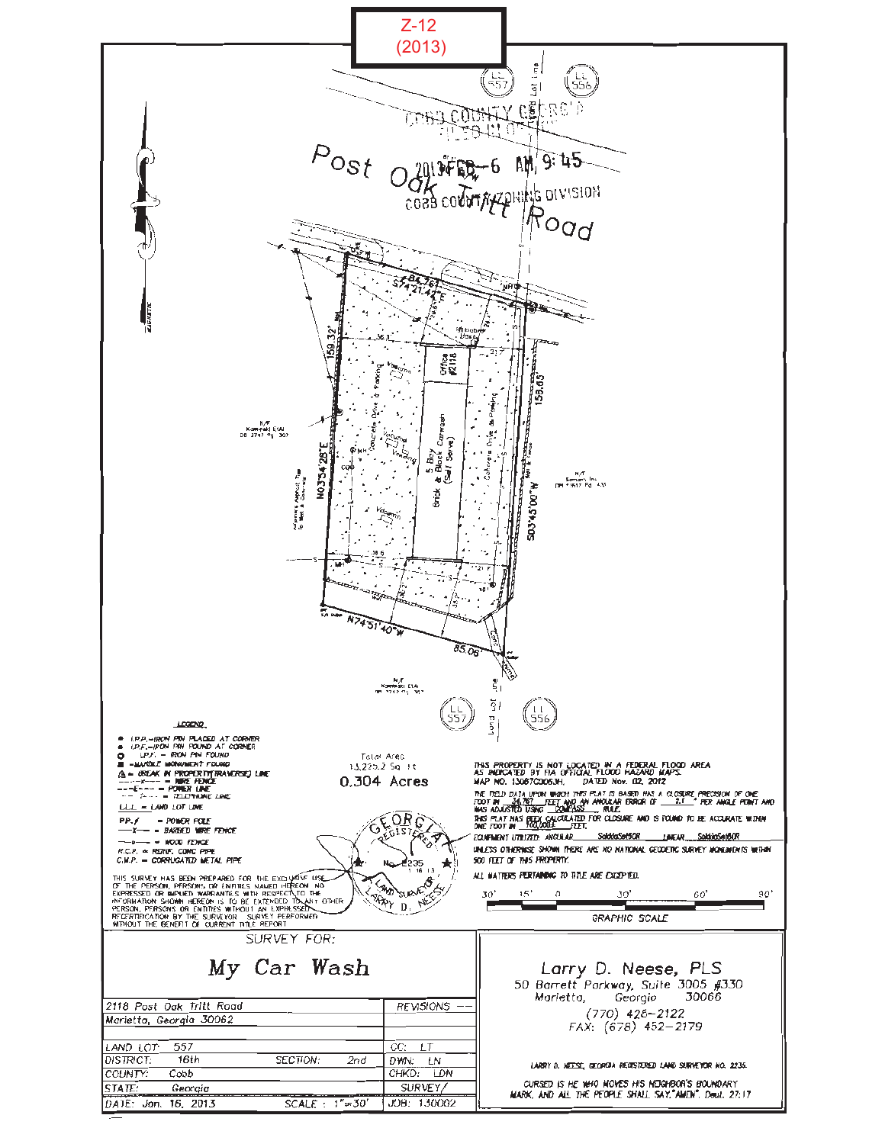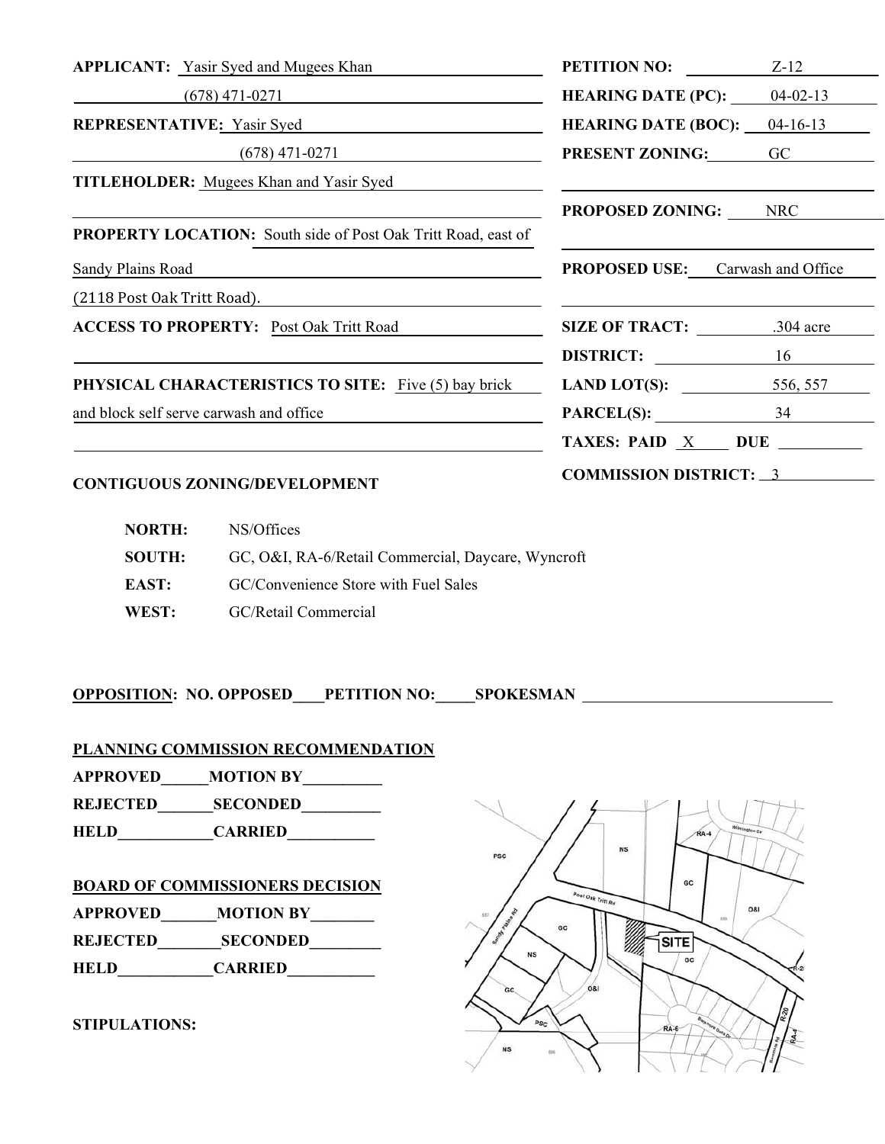| <b>APPLICANT:</b> Yasir Syed and Mugees Khan                                                                         | <b>PETITION NO:</b> Z-12                                                                                              |  |
|----------------------------------------------------------------------------------------------------------------------|-----------------------------------------------------------------------------------------------------------------------|--|
| $(678)$ 471-0271                                                                                                     | <b>HEARING DATE (PC):</b> $04-02-13$                                                                                  |  |
| REPRESENTATIVE: Yasir Syed                                                                                           | <b>HEARING DATE (BOC):</b> $04-16-13$                                                                                 |  |
| $(678)$ 471-0271                                                                                                     | <b>PRESENT ZONING:</b> GC                                                                                             |  |
| <b>TITLEHOLDER:</b> Mugees Khan and Yasir Syed                                                                       | <u> 1989 - Johann Harry Harry Harry Harry Harry Harry Harry Harry Harry Harry Harry Harry Harry Harry Harry Harry</u> |  |
|                                                                                                                      | <b>PROPOSED ZONING:</b> NRC                                                                                           |  |
| <b>PROPERTY LOCATION:</b> South side of Post Oak Tritt Road, east of                                                 |                                                                                                                       |  |
| Sandy Plains Road<br><u> 1989 - Johann Stein, fransk politik (d. 1989)</u>                                           | <b>PROPOSED USE:</b> Carwash and Office                                                                               |  |
| (2118 Post Oak Tritt Road).                                                                                          |                                                                                                                       |  |
| <b>ACCESS TO PROPERTY: Post Oak Tritt Road</b>                                                                       | SIZE OF TRACT: 304 acre                                                                                               |  |
| <u> 1989 - Jan Barbara, margaret amerikan basa dan berasal dan berasal dalam berasal dalam berasal dalam berasal</u> | DISTRICT: 16                                                                                                          |  |
| <b>PHYSICAL CHARACTERISTICS TO SITE:</b> Five (5) bay brick                                                          | <b>LAND LOT(S):</b> 556, 557                                                                                          |  |
| and block self serve carwash and office                                                                              | $PARCEL(S):$ 34                                                                                                       |  |
|                                                                                                                      | TAXES: PAID $X$ DUE $\_\_\_\_\_\$                                                                                     |  |
| <b>CONTIGUOUS ZONING/DEVELOPMENT</b>                                                                                 | COMMISSION DISTRICT: 3                                                                                                |  |

# **NORTH:** NS/Offices  **SOUTH:** GC, O&I, RA-6/Retail Commercial, Daycare, Wyncroft **EAST:** GC/Convenience Store with Fuel Sales  **WEST:** GC/Retail Commercial

**OPPOSITION: NO. OPPOSED\_\_\_\_PETITION NO:\_\_\_\_\_SPOKESMAN** 

**PLANNING COMMISSION RECOMMENDATION**

**APPROVED\_\_\_\_\_\_MOTION BY\_\_\_\_\_\_\_\_\_\_** 

**REJECTED\_\_\_\_\_\_\_SECONDED\_\_\_\_\_\_\_\_\_\_** 

**HELD\_\_\_\_\_\_\_\_\_\_\_\_CARRIED\_\_\_\_\_\_\_\_\_\_\_** 

#### **BOARD OF COMMISSIONERS DECISION**

**APPROVED** MOTION BY

**REJECTED\_\_\_\_\_\_\_\_SECONDED\_\_\_\_\_\_\_\_\_** 

**HELD\_\_\_\_\_\_\_\_\_\_\_\_CARRIED\_\_\_\_\_\_\_\_\_\_** 

#### **STIPULATIONS:**

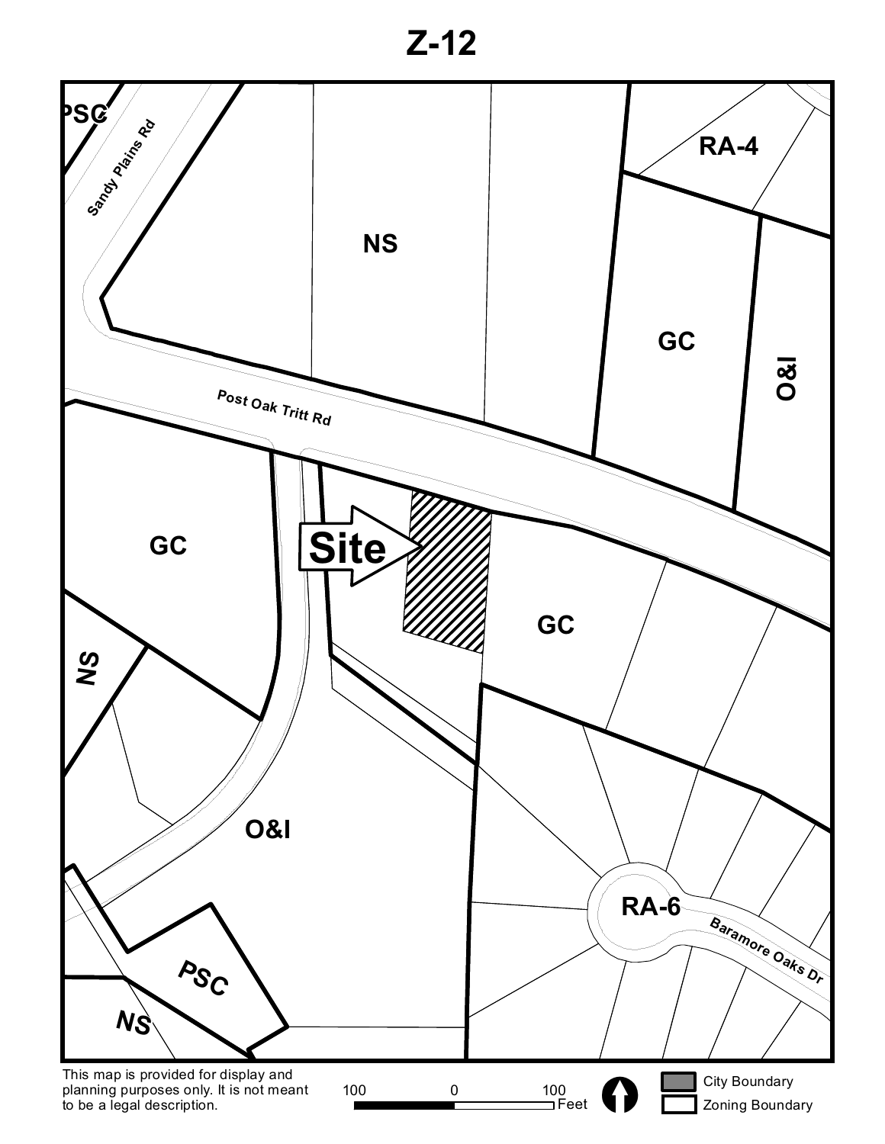**Z-12**

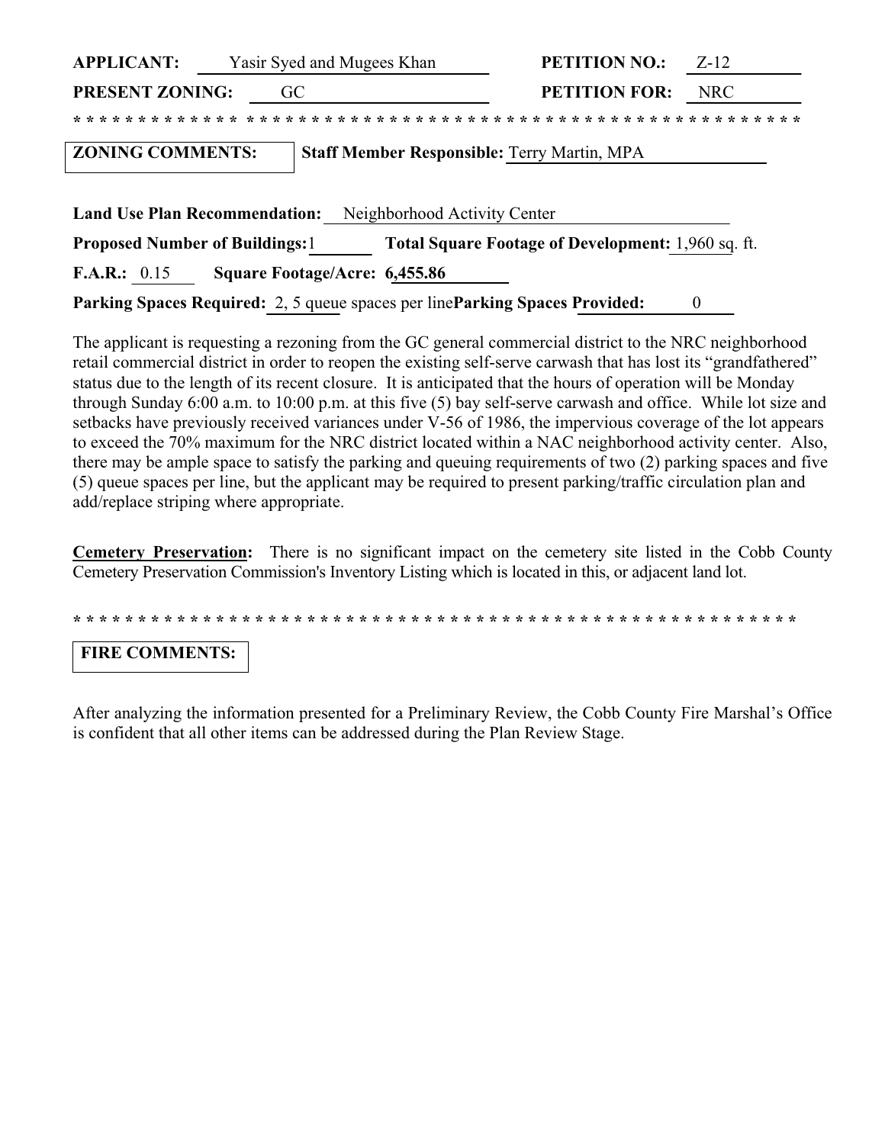| <b>APPLICANT:</b><br>Yasir Syed and Mugees Khan                                            | <b>PETITION NO.:</b><br>$Z-12$                            |
|--------------------------------------------------------------------------------------------|-----------------------------------------------------------|
| <b>PRESENT ZONING:</b><br>GC                                                               | <b>PETITION FOR:</b><br><b>NRC</b>                        |
|                                                                                            |                                                           |
| <b>ZONING COMMENTS:</b>                                                                    | <b>Staff Member Responsible: Terry Martin, MPA</b>        |
|                                                                                            |                                                           |
| <b>Land Use Plan Recommendation:</b>                                                       | Neighborhood Activity Center                              |
| <b>Proposed Number of Buildings:</b> 1                                                     | <b>Total Square Footage of Development:</b> 1,960 sq. ft. |
| <b>F.A.R.:</b> $0.15$<br>Square Footage/Acre: 6,455.86                                     |                                                           |
| <b>Parking Spaces Required:</b> 2, 5 queue spaces per line <b>Parking Spaces Provided:</b> | 0                                                         |

The applicant is requesting a rezoning from the GC general commercial district to the NRC neighborhood retail commercial district in order to reopen the existing self-serve carwash that has lost its "grandfathered" status due to the length of its recent closure. It is anticipated that the hours of operation will be Monday through Sunday 6:00 a.m. to 10:00 p.m. at this five (5) bay self-serve carwash and office. While lot size and setbacks have previously received variances under V-56 of 1986, the impervious coverage of the lot appears to exceed the 70% maximum for the NRC district located within a NAC neighborhood activity center. Also, there may be ample space to satisfy the parking and queuing requirements of two (2) parking spaces and five (5) queue spaces per line, but the applicant may be required to present parking/traffic circulation plan and add/replace striping where appropriate.

**Cemetery Preservation:** There is no significant impact on the cemetery site listed in the Cobb County Cemetery Preservation Commission's Inventory Listing which is located in this, or adjacent land lot.

**\* \* \* \* \* \* \* \* \* \* \* \* \* \* \* \* \* \* \* \* \* \* \* \* \* \* \* \* \* \* \* \* \* \* \* \* \* \* \* \* \* \* \* \* \* \* \* \* \* \* \* \* \* \* \* \***

## **FIRE COMMENTS:**

After analyzing the information presented for a Preliminary Review, the Cobb County Fire Marshal's Office is confident that all other items can be addressed during the Plan Review Stage.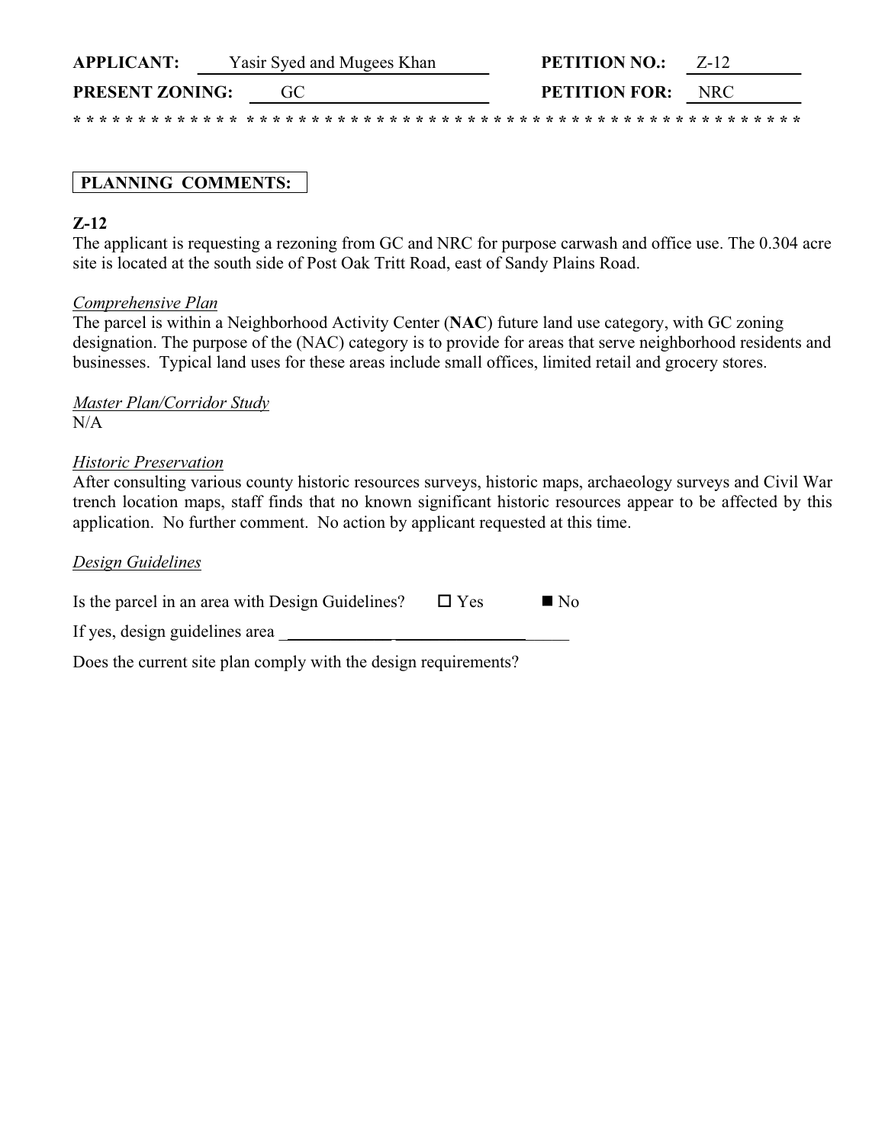| <b>APPLICANT:</b>      |  | Yasir Syed and Mugees Khan |  | <b>PETITION NO.:</b>     | $Z - 12$ |  |
|------------------------|--|----------------------------|--|--------------------------|----------|--|
| <b>PRESENT ZONING:</b> |  |                            |  | <b>PETITION FOR:</b> NRC |          |  |
|                        |  |                            |  |                          |          |  |

## **PLANNING COMMENTS:**

### **Z-12**

The applicant is requesting a rezoning from GC and NRC for purpose carwash and office use. The 0.304 acre site is located at the south side of Post Oak Tritt Road, east of Sandy Plains Road.

#### *Comprehensive Plan*

The parcel is within a Neighborhood Activity Center (**NAC**) future land use category, with GC zoning designation. The purpose of the (NAC) category is to provide for areas that serve neighborhood residents and businesses. Typical land uses for these areas include small offices, limited retail and grocery stores.

*Master Plan/Corridor Study*  $N/A$ 

#### *Historic Preservation*

After consulting various county historic resources surveys, historic maps, archaeology surveys and Civil War trench location maps, staff finds that no known significant historic resources appear to be affected by this application. No further comment. No action by applicant requested at this time.

#### *Design Guidelines*

| Is the parcel in an area with Design Guidelines? | $\Box$ Yes | $\blacksquare$ No |
|--------------------------------------------------|------------|-------------------|
| If yes, design guidelines area                   |            |                   |

Does the current site plan comply with the design requirements?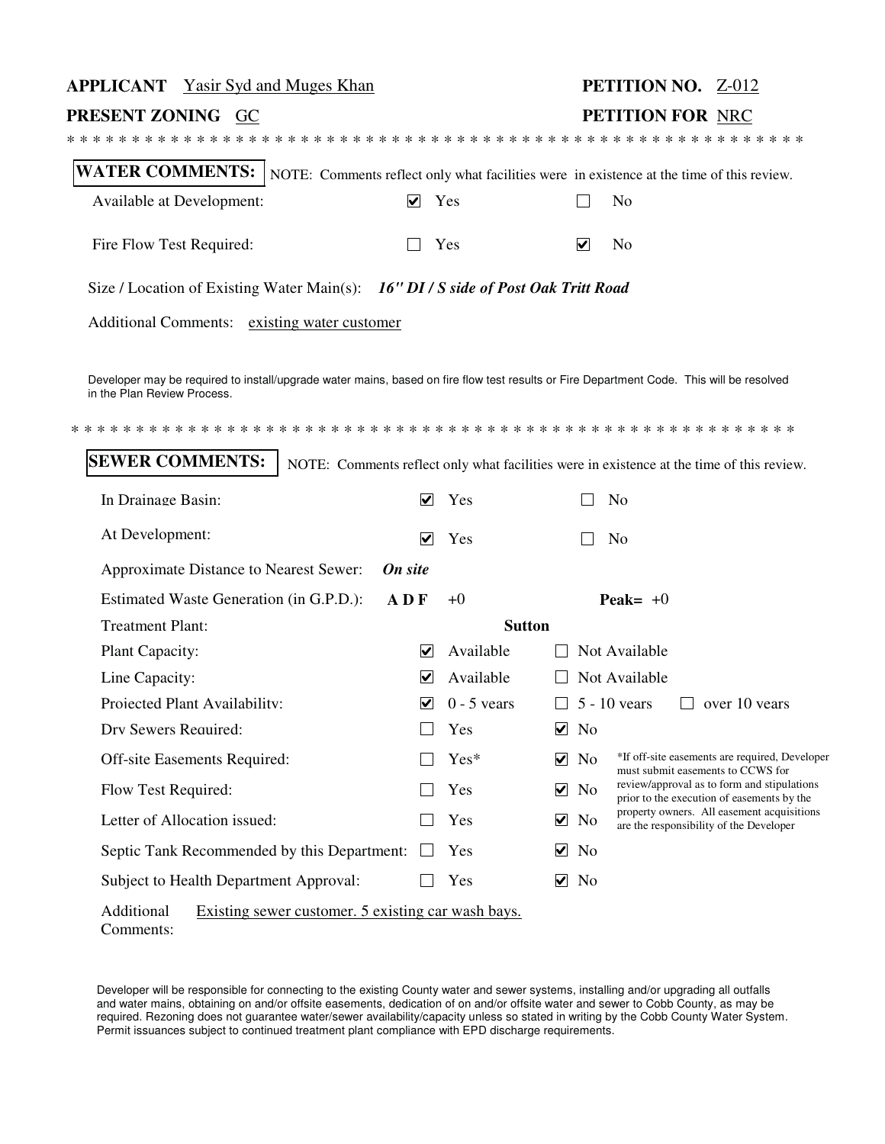| <b>APPLICANT</b> Yasir Syd and Muges Khan                                                                                                                                                         |                             |               |                      |                      |                | <b>PETITION NO. Z-012</b>                                                                 |
|---------------------------------------------------------------------------------------------------------------------------------------------------------------------------------------------------|-----------------------------|---------------|----------------------|----------------------|----------------|-------------------------------------------------------------------------------------------|
| PRESENT ZONING GC                                                                                                                                                                                 |                             |               |                      |                      |                | PETITION FOR NRC                                                                          |
|                                                                                                                                                                                                   |                             |               |                      |                      |                |                                                                                           |
| <b>WATER COMMENTS:</b> NOTE: Comments reflect only what facilities were in existence at the time of this review.                                                                                  |                             |               |                      |                      |                |                                                                                           |
| Available at Development:                                                                                                                                                                         | $\blacktriangledown$        | Yes           |                      |                      | No             |                                                                                           |
| Fire Flow Test Required:                                                                                                                                                                          |                             | Yes           |                      | $\blacktriangledown$ | No             |                                                                                           |
| Size / Location of Existing Water Main(s): 16" DI / S side of Post Oak Tritt Road                                                                                                                 |                             |               |                      |                      |                |                                                                                           |
| Additional Comments: existing water customer                                                                                                                                                      |                             |               |                      |                      |                |                                                                                           |
| Developer may be required to install/upgrade water mains, based on fire flow test results or Fire Department Code. This will be resolved<br>in the Plan Review Process.<br><b>SEWER COMMENTS:</b> |                             |               |                      |                      |                | NOTE: Comments reflect only what facilities were in existence at the time of this review. |
|                                                                                                                                                                                                   |                             |               |                      |                      |                |                                                                                           |
| In Drainage Basin:                                                                                                                                                                                | $\blacktriangledown$        | Yes           |                      |                      | No             |                                                                                           |
| At Development:                                                                                                                                                                                   | $\overline{\mathbf{v}}$     | Yes           |                      |                      | N <sub>0</sub> |                                                                                           |
| Approximate Distance to Nearest Sewer:                                                                                                                                                            | On site                     |               |                      |                      |                |                                                                                           |
| Estimated Waste Generation (in G.P.D.):                                                                                                                                                           | ADF                         | $+0$          |                      |                      | Peak= $+0$     |                                                                                           |
| <b>Treatment Plant:</b>                                                                                                                                                                           |                             | <b>Sutton</b> |                      |                      |                |                                                                                           |
| Plant Capacity:                                                                                                                                                                                   | ⊻                           | Available     |                      |                      | Not Available  |                                                                                           |
| Line Capacity:                                                                                                                                                                                    | V                           | Available     |                      |                      | Not Available  |                                                                                           |
| Projected Plant Availability:                                                                                                                                                                     | $\vert\bm{\mathsf{v}}\vert$ | $0 - 5$ vears |                      |                      | $5 - 10$ vears | over 10 years                                                                             |
| Drv Sewers Required:                                                                                                                                                                              |                             | Yes           | $\blacktriangledown$ | No                   |                |                                                                                           |
| Off-site Easements Required:                                                                                                                                                                      |                             | Yes*          | ☑                    | N <sub>0</sub>       |                | *If off-site easements are required, Developer<br>must submit easements to CCWS for       |
| Flow Test Required:                                                                                                                                                                               |                             | Yes           | ⊻                    | No                   |                | review/approval as to form and stipulations<br>prior to the execution of easements by the |
| Letter of Allocation issued:                                                                                                                                                                      |                             | Yes           | ⊻                    | No                   |                | property owners. All easement acquisitions<br>are the responsibility of the Developer     |
| Septic Tank Recommended by this Department:                                                                                                                                                       |                             | Yes           | ⊻                    | No                   |                |                                                                                           |
| Subject to Health Department Approval:                                                                                                                                                            |                             | Yes           | ⊻                    | No                   |                |                                                                                           |
| Additional<br>Existing sewer customer. 5 existing car wash bays.<br>Comments:                                                                                                                     |                             |               |                      |                      |                |                                                                                           |

Developer will be responsible for connecting to the existing County water and sewer systems, installing and/or upgrading all outfalls and water mains, obtaining on and/or offsite easements, dedication of on and/or offsite water and sewer to Cobb County, as may be required. Rezoning does not guarantee water/sewer availability/capacity unless so stated in writing by the Cobb County Water System. Permit issuances subject to continued treatment plant compliance with EPD discharge requirements.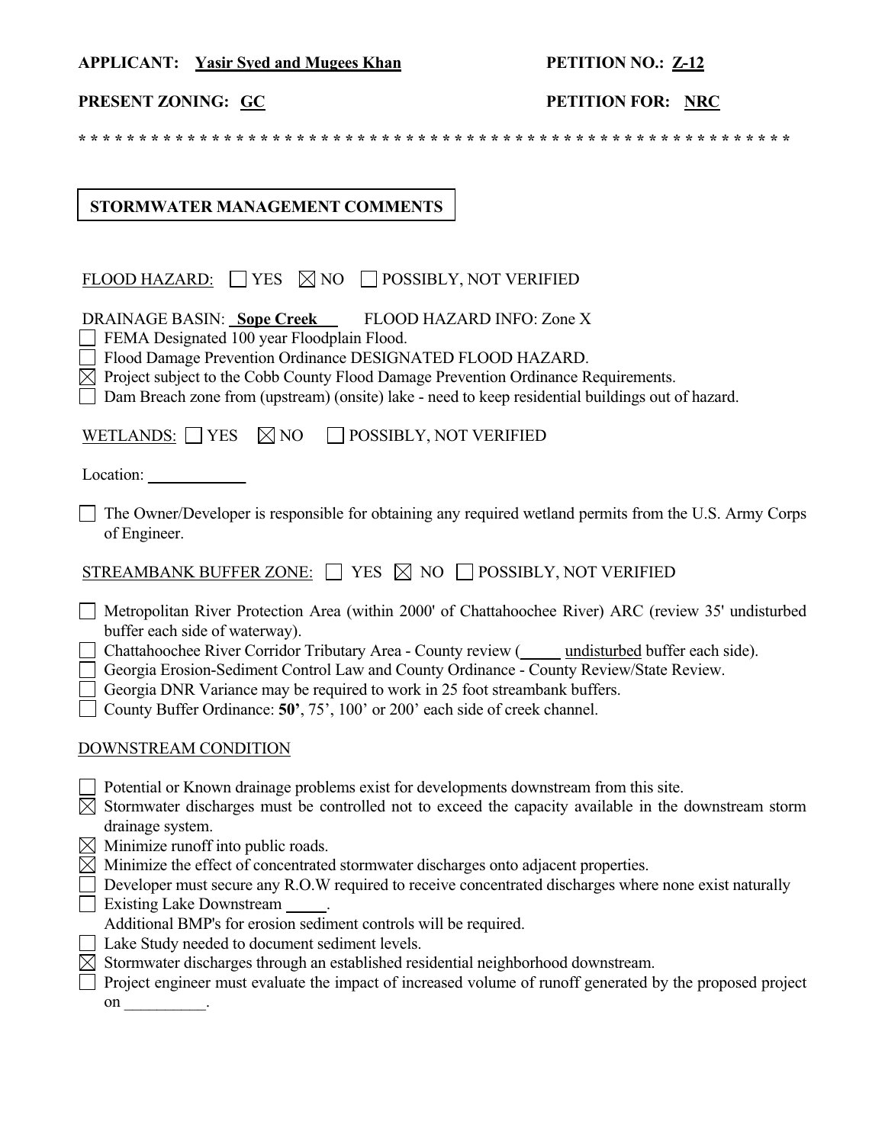### **APPLICANT: Yasir Syed and Mugees Khan PETITION NO.: Z-12**

## **PRESENT ZONING:** GC **PETITION FOR:** NRC

**\* \* \* \* \* \* \* \* \* \* \* \* \* \* \* \* \* \* \* \* \* \* \* \* \* \* \* \* \* \* \* \* \* \* \* \* \* \* \* \* \* \* \* \* \* \* \* \* \* \* \* \* \* \* \* \* \* \* \***

## **STORMWATER MANAGEMENT COMMENTS**

| FLOOD HAZARD: $\Box$ YES $\boxtimes$ NO $\Box$ POSSIBLY, NOT VERIFIED                                                                                                                                                                                                                                                                                                                                                                                                                           |
|-------------------------------------------------------------------------------------------------------------------------------------------------------------------------------------------------------------------------------------------------------------------------------------------------------------------------------------------------------------------------------------------------------------------------------------------------------------------------------------------------|
| <b>DRAINAGE BASIN: Sope Creek</b><br>FLOOD HAZARD INFO: Zone X<br>FEMA Designated 100 year Floodplain Flood.<br>Flood Damage Prevention Ordinance DESIGNATED FLOOD HAZARD.<br>$\boxtimes$ Project subject to the Cobb County Flood Damage Prevention Ordinance Requirements.<br>Dam Breach zone from (upstream) (onsite) lake - need to keep residential buildings out of hazard.                                                                                                               |
| $\boxtimes$ NO<br>WETLANDS: YES<br>POSSIBLY, NOT VERIFIED                                                                                                                                                                                                                                                                                                                                                                                                                                       |
|                                                                                                                                                                                                                                                                                                                                                                                                                                                                                                 |
| The Owner/Developer is responsible for obtaining any required wetland permits from the U.S. Army Corps<br>of Engineer.                                                                                                                                                                                                                                                                                                                                                                          |
| STREAMBANK BUFFER ZONE: $\Box$ YES $\boxtimes$ NO $\Box$ POSSIBLY, NOT VERIFIED                                                                                                                                                                                                                                                                                                                                                                                                                 |
| Metropolitan River Protection Area (within 2000' of Chattahoochee River) ARC (review 35' undisturbed<br>buffer each side of waterway).<br>Chattahoochee River Corridor Tributary Area - County review (Cassimulated buffer each side).<br>Georgia Erosion-Sediment Control Law and County Ordinance - County Review/State Review.<br>Georgia DNR Variance may be required to work in 25 foot streambank buffers.<br>County Buffer Ordinance: 50', 75', 100' or 200' each side of creek channel. |
| DOWNSTREAM CONDITION                                                                                                                                                                                                                                                                                                                                                                                                                                                                            |
| Potential or Known drainage problems exist for developments downstream from this site.<br>$\boxtimes$ Stormwater discharges must be controlled not to exceed the capacity available in the downstream storm<br>drainage system.                                                                                                                                                                                                                                                                 |
| $\boxtimes$ Minimize runoff into public roads.<br>$\boxtimes$ Minimize the effect of concentrated stormwater discharges onto adjacent properties.<br>Developer must secure any R.O.W required to receive concentrated discharges where none exist naturally<br>Existing Lake Downstream<br>$\mathcal{L}^{\mathcal{A}}$<br>Additional BMP's for erosion sediment controls will be required.                                                                                                      |
| □ Lake Study needed to document sediment levels.<br>$\boxtimes$ Stormwater discharges through an established residential neighborhood downstream.<br>Project engineer must evaluate the impact of increased volume of runoff generated by the proposed project<br>on                                                                                                                                                                                                                            |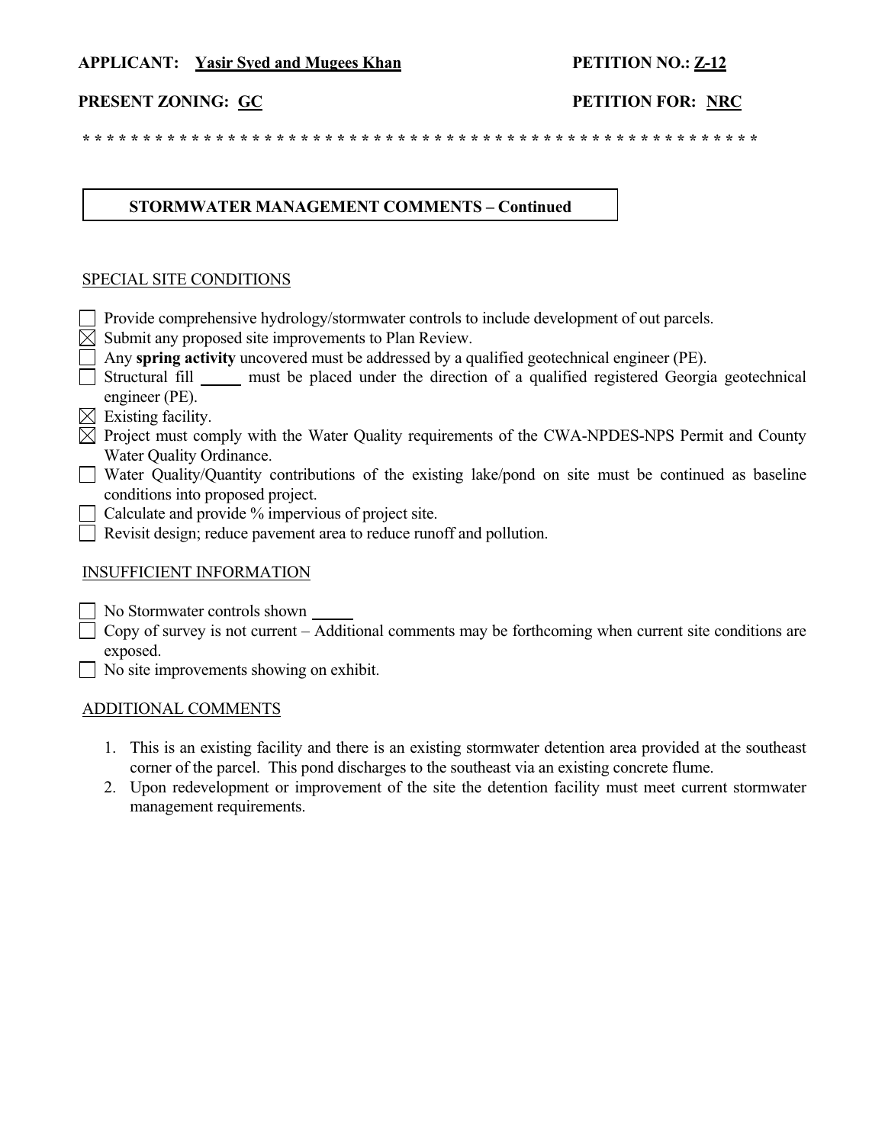#### **APPLICANT: Yasir Syed and Mugees Khan PETITION NO.: Z-12**

#### **PRESENT ZONING: GC PETITION FOR: NRC**

 **\* \* \* \* \* \* \* \* \* \* \* \* \* \* \* \* \* \* \* \* \* \* \* \* \* \* \* \* \* \* \* \* \* \* \* \* \* \* \* \* \* \* \* \* \* \* \* \* \* \* \* \* \* \* \* \***

#### **STORMWATER MANAGEMENT COMMENTS – Continued**

#### SPECIAL SITE CONDITIONS

- Provide comprehensive hydrology/stormwater controls to include development of out parcels.
- $\boxtimes$  Submit any proposed site improvements to Plan Review.
- Any **spring activity** uncovered must be addressed by a qualified geotechnical engineer (PE).
- $\Box$  Structural fill must be placed under the direction of a qualified registered Georgia geotechnical engineer (PE).
- $\boxtimes$  Existing facility.
- $\boxtimes$  Project must comply with the Water Quality requirements of the CWA-NPDES-NPS Permit and County Water Quality Ordinance.
- Water Quality/Quantity contributions of the existing lake/pond on site must be continued as baseline conditions into proposed project.
- $\Box$  Calculate and provide  $\%$  impervious of project site.
- $\Box$  Revisit design; reduce pavement area to reduce runoff and pollution.

#### INSUFFICIENT INFORMATION

- No Stormwater controls shown
- $\Box$  Copy of survey is not current Additional comments may be forthcoming when current site conditions are exposed.
- No site improvements showing on exhibit.

#### ADDITIONAL COMMENTS

- 1. This is an existing facility and there is an existing stormwater detention area provided at the southeast corner of the parcel. This pond discharges to the southeast via an existing concrete flume.
- 2. Upon redevelopment or improvement of the site the detention facility must meet current stormwater management requirements.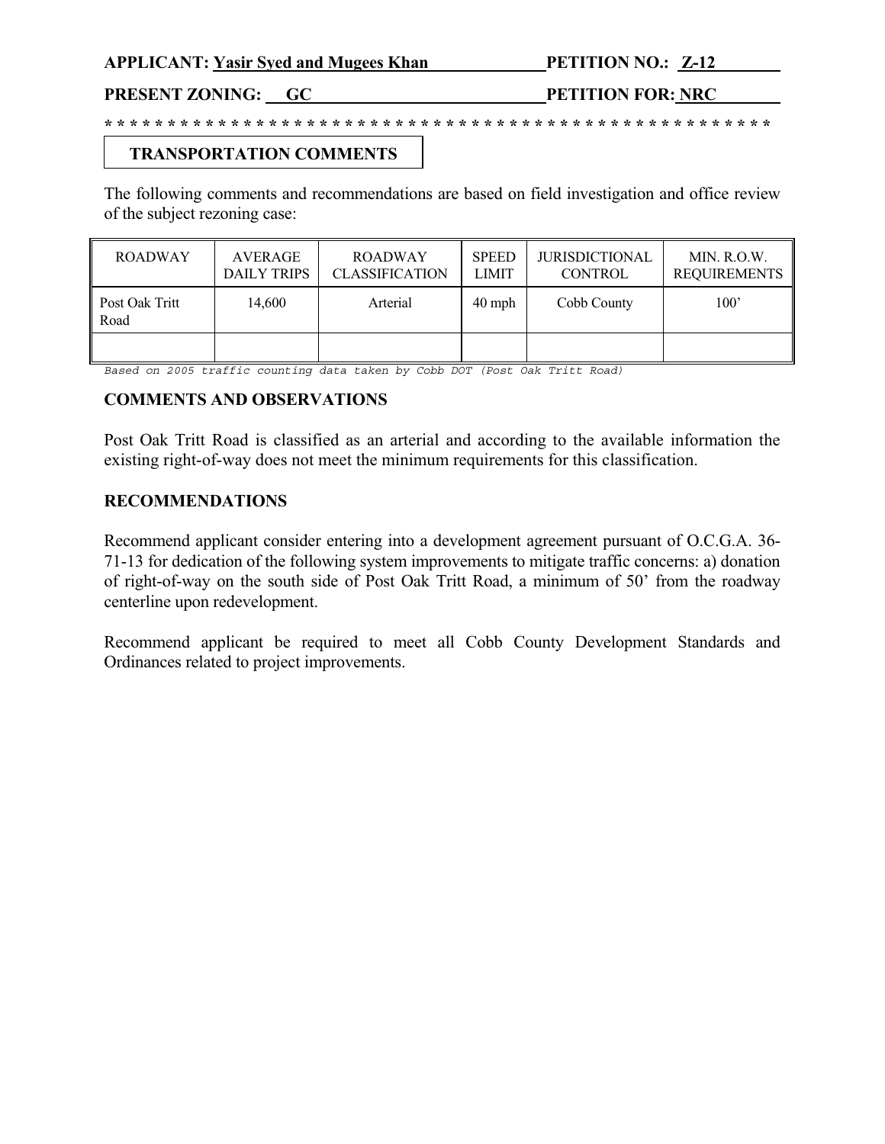PRESENT ZONING: GC PETITION FOR: NRC

## **TRANSPORTATION COMMENTS**

The following comments and recommendations are based on field investigation and office review of the subject rezoning case:

**\* \* \* \* \* \* \* \* \* \* \* \* \* \* \* \* \* \* \* \* \* \* \* \* \* \* \* \* \* \* \* \* \* \* \* \* \* \* \* \* \* \* \* \* \* \* \* \* \* \* \* \* \***

| <b>ROADWAY</b>         | AVERAGE<br><b>DAILY TRIPS</b> | <b>ROADWAY</b><br><b>CLASSIFICATION</b> | <b>SPEED</b><br><b>LIMIT</b> | <b>JURISDICTIONAL</b><br><b>CONTROL</b> | MIN. R.O.W.<br><b>REQUIREMENTS</b> |
|------------------------|-------------------------------|-----------------------------------------|------------------------------|-----------------------------------------|------------------------------------|
| Post Oak Tritt<br>Road | 14.600                        | Arterial                                | $40$ mph                     | Cobb County                             | 100'                               |
|                        |                               |                                         |                              |                                         |                                    |

*Based on 2005 traffic counting data taken by Cobb DOT (Post Oak Tritt Road)* 

#### **COMMENTS AND OBSERVATIONS**

Post Oak Tritt Road is classified as an arterial and according to the available information the existing right-of-way does not meet the minimum requirements for this classification.

#### **RECOMMENDATIONS**

Recommend applicant consider entering into a development agreement pursuant of O.C.G.A. 36- 71-13 for dedication of the following system improvements to mitigate traffic concerns: a) donation of right-of-way on the south side of Post Oak Tritt Road, a minimum of 50' from the roadway centerline upon redevelopment.

Recommend applicant be required to meet all Cobb County Development Standards and Ordinances related to project improvements.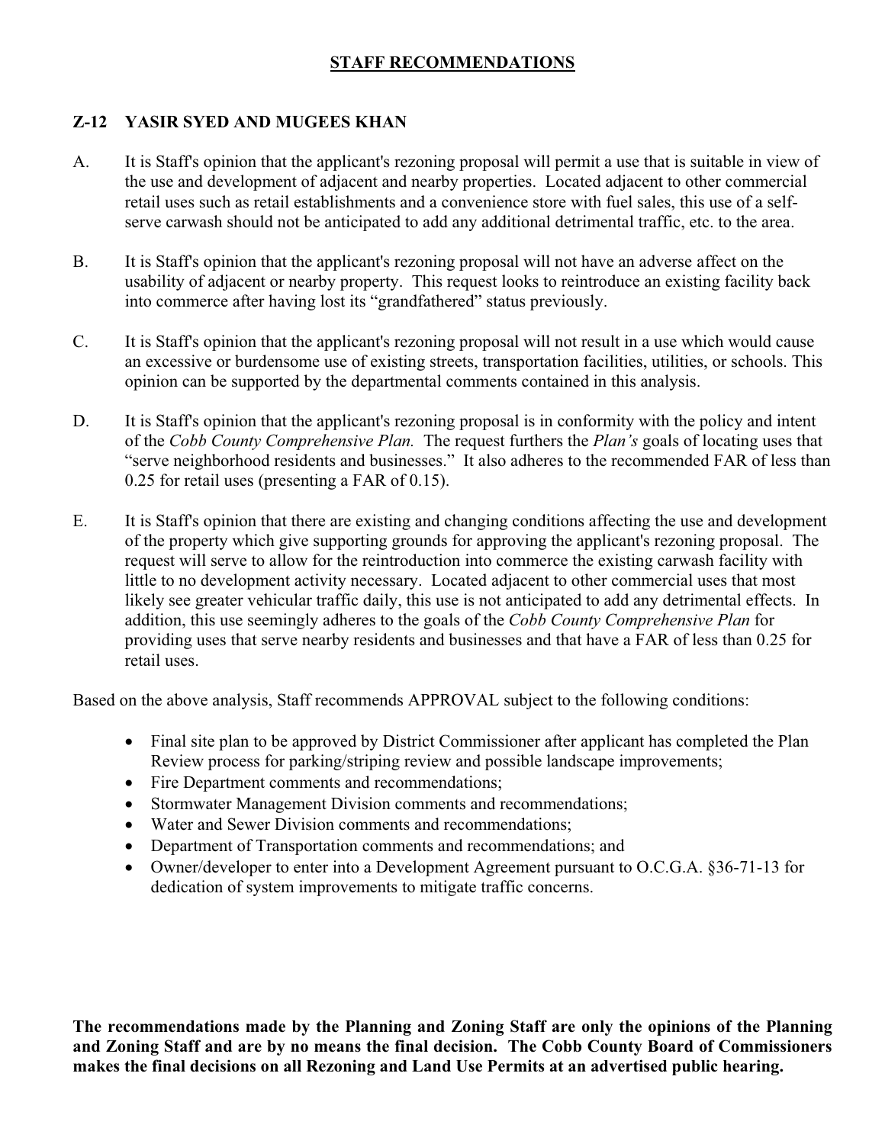## **STAFF RECOMMENDATIONS**

## **Z-12 YASIR SYED AND MUGEES KHAN**

- A. It is Staff's opinion that the applicant's rezoning proposal will permit a use that is suitable in view of the use and development of adjacent and nearby properties. Located adjacent to other commercial retail uses such as retail establishments and a convenience store with fuel sales, this use of a selfserve carwash should not be anticipated to add any additional detrimental traffic, etc. to the area.
- B. It is Staff's opinion that the applicant's rezoning proposal will not have an adverse affect on the usability of adjacent or nearby property. This request looks to reintroduce an existing facility back into commerce after having lost its "grandfathered" status previously.
- C. It is Staff's opinion that the applicant's rezoning proposal will not result in a use which would cause an excessive or burdensome use of existing streets, transportation facilities, utilities, or schools. This opinion can be supported by the departmental comments contained in this analysis.
- D. It is Staff's opinion that the applicant's rezoning proposal is in conformity with the policy and intent of the *Cobb County Comprehensive Plan.* The request furthers the *Plan's* goals of locating uses that "serve neighborhood residents and businesses." It also adheres to the recommended FAR of less than 0.25 for retail uses (presenting a FAR of 0.15).
- E. It is Staff's opinion that there are existing and changing conditions affecting the use and development of the property which give supporting grounds for approving the applicant's rezoning proposal. The request will serve to allow for the reintroduction into commerce the existing carwash facility with little to no development activity necessary. Located adjacent to other commercial uses that most likely see greater vehicular traffic daily, this use is not anticipated to add any detrimental effects. In addition, this use seemingly adheres to the goals of the *Cobb County Comprehensive Plan* for providing uses that serve nearby residents and businesses and that have a FAR of less than 0.25 for retail uses.

Based on the above analysis, Staff recommends APPROVAL subject to the following conditions:

- Final site plan to be approved by District Commissioner after applicant has completed the Plan Review process for parking/striping review and possible landscape improvements;
- Fire Department comments and recommendations;
- Stormwater Management Division comments and recommendations;
- Water and Sewer Division comments and recommendations;
- Department of Transportation comments and recommendations; and
- $\bullet$  Owner/developer to enter into a Development Agreement pursuant to O.C.G.A. §36-71-13 for dedication of system improvements to mitigate traffic concerns.

**The recommendations made by the Planning and Zoning Staff are only the opinions of the Planning and Zoning Staff and are by no means the final decision. The Cobb County Board of Commissioners makes the final decisions on all Rezoning and Land Use Permits at an advertised public hearing.**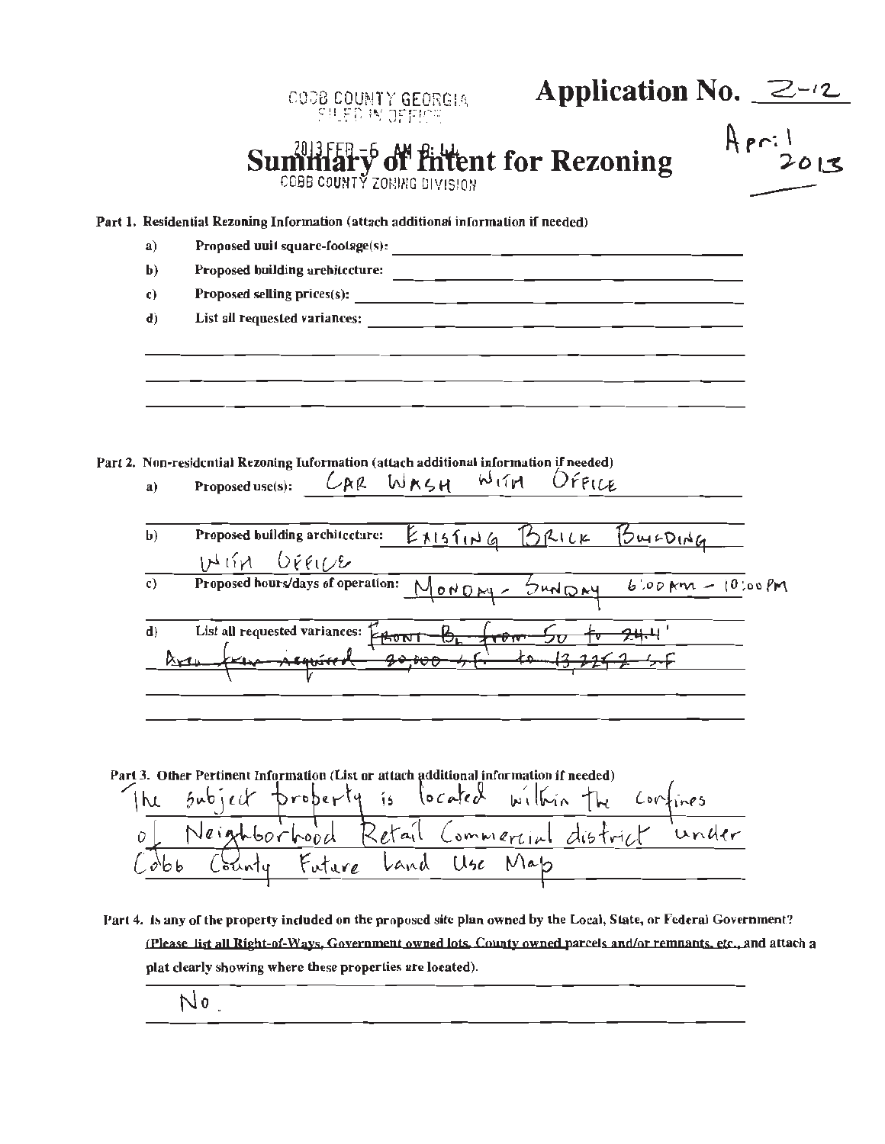|                | <b>Application No.</b> $2-y$<br>COOB COUNTY GEORGIA<br>SILED IN OFFICE                                                                  |
|----------------|-----------------------------------------------------------------------------------------------------------------------------------------|
|                | April<br><b>Military of filtent for Rezoning</b><br>COBB COUNTY ZORING DIVISION                                                         |
|                | Part 1. Residential Rezoning Information (attach additional information if needed)                                                      |
| a)             |                                                                                                                                         |
| $\mathbf{b}$   | Proposed building architecture:<br><u> 1990 - Jan James James Barnett, amerikansk politik (</u>                                         |
| c)             |                                                                                                                                         |
| $\mathbf{d}$   |                                                                                                                                         |
|                |                                                                                                                                         |
| a)             | Part 2. Non-residential Rezoning Iuformation (attach additional information if needed)<br>Proposed use(s): $CAR$ WRSH<br>WITH<br>OFFICE |
| $\mathbf{b}$   | Existing BRILK BULDING<br>Proposed building architecture:<br>HIM DEEILE                                                                 |
| $\mathbf{c}$ ) | Proposed hours/days of operation:<br>MONDAY- SUNDAY 6'00 AM - 10:00 PM                                                                  |

Part 3. Other Pertinent Information (List or attach additional information if needed)<br>
In Subject property is located within the confines<br>
Of Neighborhood Retail Commercial district under<br>
Cobb County Future Land Use Map

Part 4. Is any of the property included on the proposed site plan owned by the Local, State, or Federal Government? (Please list all Right-of-Ways, Government owned lots, County owned parcels and/or remnants, etc., and attach a plat clearly showing where these properties are located).

No